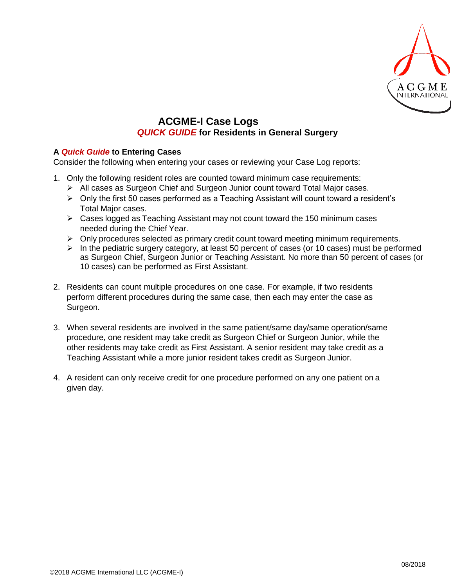

## **ACGME-I Case Logs** *QUICK GUIDE* **for Residents in General Surgery**

## **A** *Quick Guide* **to Entering Cases**

Consider the following when entering your cases or reviewing your Case Log reports:

- 1. Only the following resident roles are counted toward minimum case requirements:
	- All cases as Surgeon Chief and Surgeon Junior count toward Total Major cases.
	- $\triangleright$  Only the first 50 cases performed as a Teaching Assistant will count toward a resident's Total Major cases.
	- $\triangleright$  Cases logged as Teaching Assistant may not count toward the 150 minimum cases needed during the Chief Year.
	- $\triangleright$  Only procedures selected as primary credit count toward meeting minimum requirements.
	- $\triangleright$  In the pediatric surgery category, at least 50 percent of cases (or 10 cases) must be performed as Surgeon Chief, Surgeon Junior or Teaching Assistant. No more than 50 percent of cases (or 10 cases) can be performed as First Assistant.
- 2. Residents can count multiple procedures on one case. For example, if two residents perform different procedures during the same case, then each may enter the case as Surgeon.
- 3. When several residents are involved in the same patient/same day/same operation/same procedure, one resident may take credit as Surgeon Chief or Surgeon Junior, while the other residents may take credit as First Assistant. A senior resident may take credit as a Teaching Assistant while a more junior resident takes credit as Surgeon Junior.
- 4. A resident can only receive credit for one procedure performed on any one patient on a given day.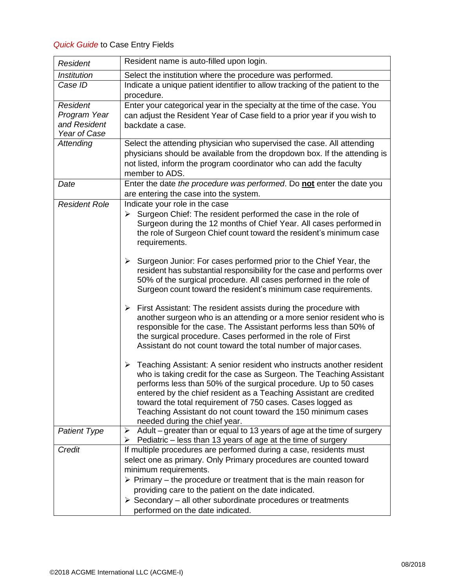## *Quick Guide* to Case Entry Fields

| Resident name is auto-filled upon login.                                                                                                                                                                                                                                                                                                                                                                                                                                                                                                                                                                                                                                                                                                                                                                                                                                                                                                                                                                                                                                                                                                                                                                                                                                                                                                                                                                 |
|----------------------------------------------------------------------------------------------------------------------------------------------------------------------------------------------------------------------------------------------------------------------------------------------------------------------------------------------------------------------------------------------------------------------------------------------------------------------------------------------------------------------------------------------------------------------------------------------------------------------------------------------------------------------------------------------------------------------------------------------------------------------------------------------------------------------------------------------------------------------------------------------------------------------------------------------------------------------------------------------------------------------------------------------------------------------------------------------------------------------------------------------------------------------------------------------------------------------------------------------------------------------------------------------------------------------------------------------------------------------------------------------------------|
|                                                                                                                                                                                                                                                                                                                                                                                                                                                                                                                                                                                                                                                                                                                                                                                                                                                                                                                                                                                                                                                                                                                                                                                                                                                                                                                                                                                                          |
| Select the institution where the procedure was performed.                                                                                                                                                                                                                                                                                                                                                                                                                                                                                                                                                                                                                                                                                                                                                                                                                                                                                                                                                                                                                                                                                                                                                                                                                                                                                                                                                |
| Indicate a unique patient identifier to allow tracking of the patient to the<br>procedure.                                                                                                                                                                                                                                                                                                                                                                                                                                                                                                                                                                                                                                                                                                                                                                                                                                                                                                                                                                                                                                                                                                                                                                                                                                                                                                               |
| Enter your categorical year in the specialty at the time of the case. You<br>can adjust the Resident Year of Case field to a prior year if you wish to<br>backdate a case.                                                                                                                                                                                                                                                                                                                                                                                                                                                                                                                                                                                                                                                                                                                                                                                                                                                                                                                                                                                                                                                                                                                                                                                                                               |
| Select the attending physician who supervised the case. All attending<br>physicians should be available from the dropdown box. If the attending is<br>not listed, inform the program coordinator who can add the faculty<br>member to ADS.                                                                                                                                                                                                                                                                                                                                                                                                                                                                                                                                                                                                                                                                                                                                                                                                                                                                                                                                                                                                                                                                                                                                                               |
| Enter the date the procedure was performed. Do not enter the date you<br>are entering the case into the system.                                                                                                                                                                                                                                                                                                                                                                                                                                                                                                                                                                                                                                                                                                                                                                                                                                                                                                                                                                                                                                                                                                                                                                                                                                                                                          |
| Indicate your role in the case<br>$\triangleright$ Surgeon Chief: The resident performed the case in the role of<br>Surgeon during the 12 months of Chief Year. All cases performed in<br>the role of Surgeon Chief count toward the resident's minimum case<br>requirements.<br>Surgeon Junior: For cases performed prior to the Chief Year, the<br>➤<br>resident has substantial responsibility for the case and performs over<br>50% of the surgical procedure. All cases performed in the role of<br>Surgeon count toward the resident's minimum case requirements.<br>First Assistant: The resident assists during the procedure with<br>≻<br>another surgeon who is an attending or a more senior resident who is<br>responsible for the case. The Assistant performs less than 50% of<br>the surgical procedure. Cases performed in the role of First<br>Assistant do not count toward the total number of major cases.<br>$\triangleright$ Teaching Assistant: A senior resident who instructs another resident<br>who is taking credit for the case as Surgeon. The Teaching Assistant<br>performs less than 50% of the surgical procedure. Up to 50 cases<br>entered by the chief resident as a Teaching Assistant are credited<br>toward the total requirement of 750 cases. Cases logged as<br>Teaching Assistant do not count toward the 150 minimum cases<br>needed during the chief year. |
| Adult – greater than or equal to 13 years of age at the time of surgery<br>➤<br>Pediatric – less than 13 years of age at the time of surgery<br>➤                                                                                                                                                                                                                                                                                                                                                                                                                                                                                                                                                                                                                                                                                                                                                                                                                                                                                                                                                                                                                                                                                                                                                                                                                                                        |
| If multiple procedures are performed during a case, residents must<br>select one as primary. Only Primary procedures are counted toward<br>minimum requirements.<br>$\triangleright$ Primary – the procedure or treatment that is the main reason for<br>providing care to the patient on the date indicated.<br>$\triangleright$ Secondary – all other subordinate procedures or treatments<br>performed on the date indicated.                                                                                                                                                                                                                                                                                                                                                                                                                                                                                                                                                                                                                                                                                                                                                                                                                                                                                                                                                                         |
|                                                                                                                                                                                                                                                                                                                                                                                                                                                                                                                                                                                                                                                                                                                                                                                                                                                                                                                                                                                                                                                                                                                                                                                                                                                                                                                                                                                                          |